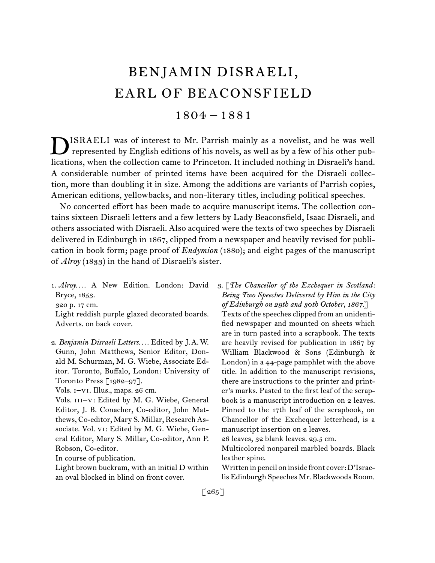# BENJAMIN DISRAELI, EARL OF BEACONSFIELD

# 1804 – 1881

ISRAELI was of interest to Mr. Parrish mainly as a novelist, and he was well **D**ISRAELI was of interest to Mr. Parrish mainly as a novelist, and he was well represented by English editions of his novels, as well as by a few of his other publications, when the collection came to Princeton. It included nothing in Disraeli's hand. A considerable number of printed items have been acquired for the Disraeli collection, more than doubling it in size. Among the additions are variants of Parrish copies, American editions, yellowbacks, and non-literary titles, including political speeches.

No concerted effort has been made to acquire manuscript items. The collection contains sixteen Disraeli letters and a few letters by Lady Beaconsfield, Isaac Disraeli, and others associated with Disraeli. Also acquired were the texts of two speeches by Disraeli delivered in Edinburgh in 1867, clipped from a newspaper and heavily revised for publication in book form; page proof of *Endymion* (1880); and eight pages of the manuscript of *Alroy* (1833) in the hand of Disraeli's sister.

1.  *Alroy. . . .* A New Edition. London: David Bryce, 1853. 320 p. 17 cm. Light reddish purple glazed decorated boards.

Adverts. on back cover.

2.  *Benjamin Disraeli Letters. . . .* Edited by J. A. W. Gunn, John Matthews, Senior Editor, Donald M. Schurman, M. G. Wiebe, Associate Editor. Toronto, Buffalo, London: University of Toronto Press [1982–97].

Vols. i–vi. Illus., maps. 26 cm.

Vols. III-V: Edited by M. G. Wiebe, General Editor, J. B. Conacher, Co-editor, John Matthews, Co-editor, Mary S. Millar, Research Associate. Vol. vi: Edited by M. G. Wiebe, General Editor, Mary S. Millar, Co-editor, Ann P. Robson, Co-editor.

In course of publication.

Light brown buckram, with an initial D within an oval blocked in blind on front cover.

3.  [*The Chancellor of the Exchequer in Scotland: Being Two Speeches Delivered by Him in the City of Edinburgh on 29th and 30th October, 1867.*]

Texts of the speeches clipped from an unidentified newspaper and mounted on sheets which are in turn pasted into a scrapbook. The texts are heavily revised for publication in 1867 by William Blackwood & Sons (Edinburgh & London) in a 44-page pamphlet with the above title. In addition to the manuscript revisions, there are instructions to the printer and printer's marks. Pasted to the first leaf of the scrapbook is a manuscript introduction on 2 leaves. Pinned to the 17th leaf of the scrapbook, on Chancellor of the Exchequer letterhead, is a manuscript insertion on 2 leaves.

26 leaves, 32 blank leaves. 29.5 cm.

Multicolored nonpareil marbled boards. Black leather spine.

Written in pencil on inside front cover:D'Israelis Edinburgh Speeches Mr. Blackwoods Room.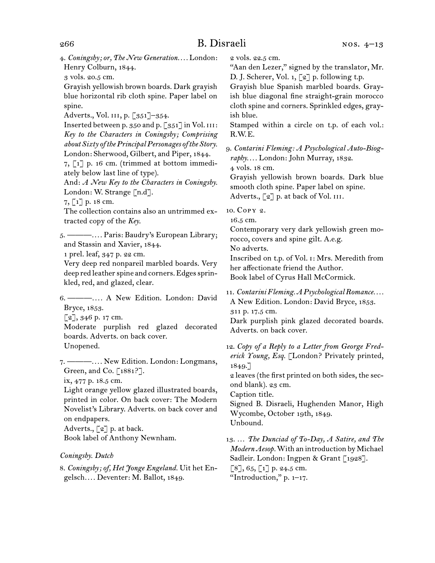4.  *Coningsby; or, The New Generation. . . .* London: Henry Colburn, 1844.

3 vols. 20.5 cm.

Grayish yellowish brown boards. Dark grayish blue horizontal rib cloth spine. Paper label on spine.

Adverts., Vol. III, p. [351]-354.

Inserted between p. 350 and p. [351] in Vol. III: *Key to the Characters in Coningsby; Comprising about Sixty of thePrincipalPersonages of the Story.* London: Sherwood, Gilbert, and Piper, 1844.

7, [1] p. 16 cm. (trimmed at bottom immediately below last line of type).

And: *A New Key to the Characters in Coningsby.* London: W. Strange [n.d].

7, [1] p. 18 cm.

The collection contains also an untrimmed extracted copy of the *Key*.

5.  ———*. . . .* Paris: Baudry's European Library; and Stassin and Xavier, 1844.

1 prel. leaf, 347 p. 22 cm.

Very deep red nonpareil marbled boards. Very deep red leather spine and corners. Edges sprinkled, red, and glazed, clear.

6.  ———*. . . .* A New Edition. London: David Bryce, 1853.

 $[2]$ , 346 p. 17 cm.

Moderate purplish red glazed decorated boards. Adverts. on back cover. Unopened.

7.  ———*. . . .* New Edition. London: Longmans, Green, and Co. [1881?].

ix, 477 p. 18.5 cm.

Light orange yellow glazed illustrated boards, printed in color. On back cover: The Modern Novelist's Library. Adverts. on back cover and on endpapers.

Adverts.,  $\lceil 2 \rceil$  p. at back.

Book label of Anthony Newnham.

#### *Coningsby. Dutch*

8.  *Coningsby; of, Het Jonge Engeland.* Uit het Engelsch*. . . .* Deventer: M. Ballot, 1849.

2 vols. 22.5 cm.

"Aan den Lezer," signed by the translator, Mr. D. J. Scherer, Vol. 1,  $\lceil 2 \rceil$  p. following t.p.

Grayish blue Spanish marbled boards. Grayish blue diagonal fine straight-grain morocco cloth spine and corners. Sprinkled edges, grayish blue.

Stamped within a circle on t.p. of each vol.: R.W. E.

9.  *Contarini Fleming: A Psychological Auto-Biography. . . .* London: John Murray, 1832.

4 vols. 18 cm.

Grayish yellowish brown boards. Dark blue smooth cloth spine. Paper label on spine. Adverts., [2] p. at back of Vol. III.

10.  Copy 2.

16.5 cm.

Contemporary very dark yellowish green morocco, covers and spine gilt. A.e.g.

No adverts.

Inscribed on t.p. of Vol. i: Mrs. Meredith from her affectionate friend the Author.

Book label of Cyrus Hall McCormick.

11.  *ContariniFleming.APsychologicalRomance. . . .* A New Edition. London: David Bryce, 1853. 311 p. 17.5 cm.

Dark purplish pink glazed decorated boards. Adverts. on back cover.

12. *Copy of a Reply to a Letter from George Frederick Young, Esq.* [London? Privately printed, 1849.]

2 leaves(the first printed on both sides, the second blank). 23 cm.

Caption title.

Signed B. Disraeli, Hughenden Manor, High Wycombe, October 19th, 1849. Unbound.

13.  … *The Dunciad of To-Day, A Satire, and The Modern Aesop.*With an introduction by Michael Sadleir. London: Ingpen & Grant [1928].  $[8]$ , 65,  $[1]$  p. 24.5 cm. "Introduction,"  $p. 1-17$ .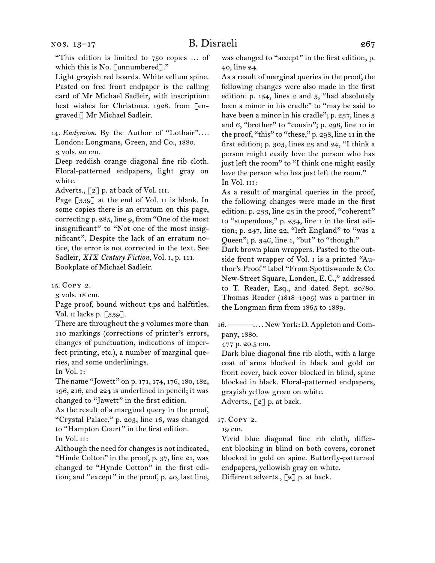"This edition is limited to 750 copies … of which this is No. [unnumbered]."

Light grayish red boards. White vellum spine. Pasted on free front endpaper is the calling card of Mr Michael Sadleir, with inscription: best wishes for Christmas. 1928. from [engraved:] Mr Michael Sadleir.

14.  *Endymion.* By the Author of "Lothair"*. . . .* London: Longmans, Green, and Co., 1880. 3 vols. 20 cm.

Deep reddish orange diagonal fine rib cloth. Floral-patterned endpapers, light gray on white.

Adverts.,  $\lbrack 2 \rbrack$  p. at back of Vol. III.

Page [339] at the end of Vol. II is blank. In some copies there is an erratum on this page, correcting p. 285, line 9, from "One of the most insignificant" to "Not one of the most insignificant". Despite the lack of an erratum notice, the error is not corrected in the text. See Sadleir, *XIX Century Fiction,* Vol. i, p. 111. Bookplate of Michael Sadleir.

15.  Copy 2.

3 vols. 18 cm.

Page proof, bound without t.ps and halftitles. Vol. II lacks p. [339].

There are throughout the 3 volumes more than 110 markings (corrections of printer's errors, changes of punctuation, indications of imperfect printing, etc.), a number of marginal queries, and some underlinings.

In Vol. i:

The name "Jowett" on p. 171, 174, 176, 180, 182, 196, 216, and 224 is underlined in pencil; it was changed to "Jawett" in the first edition.

As the result of a marginal query in the proof, "Crystal Palace," p. 203, line 16, was changed to "Hampton Court" in the first edition. In Vol. ii:

Although the need for changes is not indicated, "Hinde Colton" in the proof, p. 37, line 21, was changed to "Hynde Cotton" in the first edition; and "except" in the proof, p. 40, last line,

was changed to "accept" in the first edition, p. 40, line 24.

As a result of marginal queries in the proof, the following changes were also made in the first edition: p. 154, lines 2 and 3, "had absolutely been a minor in his cradle" to "may be said to have been a minor in his cradle"; p. 237, lines 3 and 6, "brother" to "cousin"; p. 298, line 10 in the proof, "this" to "these," p. 298, line 11 in the first edition; p. 303, lines 23 and 24, "I think a person might easily love the person who has just left the room" to "I think one might easily love the person who has just left the room." In Vol. III:

As a result of marginal queries in the proof, the following changes were made in the first edition: p. 233, line 23 in the proof, "coherent" to "stupendous," p. 234, line 1 in the first edition; p. 247, line 22, "left England" to "was a Queen"; p. 346, line 1, "but" to "though."

Dark brown plain wrappers. Pasted to the outside front wrapper of Vol. i is a printed "Author's Proof" label "From Spottiswoode & Co. New-Street Square, London, E. C.," addressed to T. Reader, Esq., and dated Sept. 20/80. Thomas Reader (1818–1905) was a partner in the Longman firm from 1865 to 1889.

16.  ———*. . . .* New York: D. Appleton and Company, 1880.

477 p. 20.5 cm.

Dark blue diagonal fine rib cloth, with a large coat of arms blocked in black and gold on front cover, back cover blocked in blind, spine blocked in black. Floral-patterned endpapers, grayish yellow green on white. Adverts., [2] p. at back.

17.  Copy 2.

19 cm.

Vivid blue diagonal fine rib cloth, different blocking in blind on both covers, coronet blocked in gold on spine. Butterfly-patterned endpapers, yellowish gray on white. Different adverts., [2] p. at back.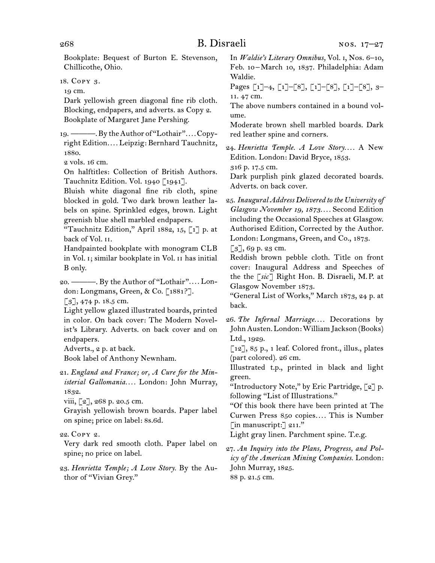Bookplate: Bequest of Burton E. Stevenson, Chillicothe, Ohio.

18.  Copy 3.

19 cm.

Dark yellowish green diagonal fine rib cloth. Blocking, endpapers, and adverts. as Copy 2. Bookplate of Margaret Jane Pershing.

19.  ———.By theAuthor of "Lothair"*. . . .*Copyright Edition*. . . .* Leipzig: Bernhard Tauchnitz, 1880.

2 vols. 16 cm.

On halftitles: Collection of British Authors. Tauchnitz Edition. Vol. 1940 [1941].

Bluish white diagonal fine rib cloth, spine blocked in gold. Two dark brown leather labels on spine. Sprinkled edges, brown. Light greenish blue shell marbled endpapers.

"Tauchnitz Edition," April 1882, 15, [1] p. at back of Vol. ii.

Handpainted bookplate with monogram CLB in Vol. i; similar bookplate in Vol. ii has initial B only.

20.  ———. By the Author of "Lothair"*. . . .* London: Longmans, Green, & Co. [1881?].

[3], 474 p. 18.5 cm.

Light yellow glazed illustrated boards, printed in color. On back cover: The Modern Novelist's Library. Adverts. on back cover and on endpapers.

Adverts., 2 p. at back.

Book label of Anthony Newnham.

21.  *England and France; or, A Cure for the Ministerial Gallomania. . . .* London: John Murray, 1832.

viii,  $\lceil 2 \rceil$ , 268 p. 20.5 cm.

Grayish yellowish brown boards. Paper label on spine; price on label: 8s.6d.

22.  Copy 2.

Very dark red smooth cloth. Paper label on spine; no price on label.

23.  *Henrietta Temple; A Love Story.* By the Author of "Vivian Grey."

In *Waldie's Literary Omnibus,* Vol. i, Nos. 6–10, Feb. 10 – March 10, 1837. Philadelphia: Adam Waldie.

Pages [1]–4, [1]–[8], [1]–[8], [1]–[8], 3– 11. 47 cm.

The above numbers contained in a bound volume.

Moderate brown shell marbled boards. Dark red leather spine and corners.

24.  *Henrietta Temple. A Love Story. . . .* A New Edition. London: David Bryce, 1853.

316 p. 17.5 cm.

Dark purplish pink glazed decorated boards. Adverts. on back cover.

25.  *Inaugural Address Delivered to the University of Glasgow November 19, 1873. . . .* Second Edition including the Occasional Speeches at Glasgow. Authorised Edition, Corrected by the Author. London: Longmans, Green, and Co., 1873.

 $[3]$ , 69 p. 23 cm.

Reddish brown pebble cloth. Title on front cover: Inaugural Address and Speeches of the the [*sic*] Right Hon. B. Disraeli, M. P. at Glasgow November 1873.

"General List of Works," March 1873, 24 p. at back.

26.  *The Infernal Marriage. . . .* Decorations by JohnAusten.London:WilliamJackson (Books) Ltd., 1929.

[12], 85 p., 1 leaf. Colored front., illus., plates (part colored). 26 cm.

Illustrated t.p., printed in black and light green.

"Introductory Note," by Eric Partridge, [2] p. following "List of Illustrations."

"Of this book there have been printed at The Curwen Press 850 copies*. . . .* This is Number [in manuscript:] 211."

Light gray linen. Parchment spine. T.e.g.

27.  *An Inquiry into the Plans, Progress, and Policy of the American Mining Companies.* London: John Murray, 1825. 88 p. 21.5 cm.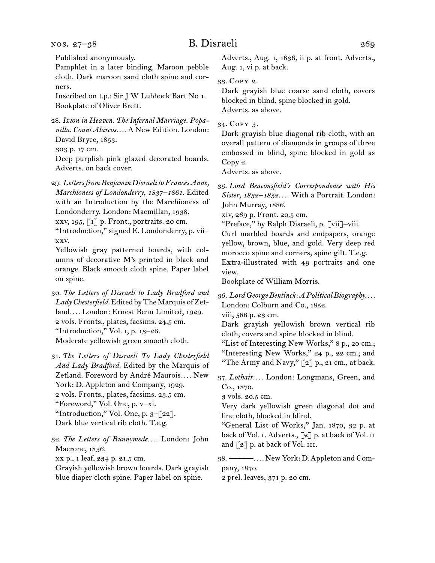nos. 27–38

Published anonymously.

Pamphlet in a later binding. Maroon pebble cloth. Dark maroon sand cloth spine and corners.

Inscribed on t.p.: Sir J W Lubbock Bart No 1. Bookplate of Oliver Brett.

28.  *Ixion in Heaven. The Infernal Marriage. Popanilla. Count Alarcos. . . .* A New Edition. London: David Bryce, 1853.

303 p. 17 cm.

Deep purplish pink glazed decorated boards. Adverts. on back cover.

29.  *LettersfromBenjamin Disraeli toFrances Anne, Marchioness of Londonderry, 1837–1861.* Edited with an Introduction by the Marchioness of Londonderry. London: Macmillan, 1938.

xxv, 195,  $\lbrack 1 \rbrack$  p. Front., portraits. 20 cm.

"Introduction," signed E. Londonderry, p. vii– xxv.

Yellowish gray patterned boards, with columns of decorative M's printed in black and orange. Black smooth cloth spine. Paper label on spine.

30.  *The Letters of Disraeli to Lady Bradford and* Lady Chesterfield. Edited by The Marquis of Zetland*. . . .* London: Ernest Benn Limited, 1929. 2 vols. Fronts., plates, facsims. 24.5 cm. "Introduction," Vol. i, p. 13–26. Moderate yellowish green smooth cloth.

31.  *The Letters of Disraeli To Lady Chesterfield And Lady Bradford.* Edited by the Marquis of Zetland. Foreword by André Maurois*. . . .* New York: D. Appleton and Company, 1929. 2 vols. Fronts., plates, facsims. 23.5 cm. "Foreword," Vol. One, p. v–xi. "Introduction," Vol. One, p. 3-[22]. Dark blue vertical rib cloth. T.e.g.

32.  *The Letters of Runnymede. . . .* London: John Macrone, 1836. xx p., 1 leaf, 234 p. 21.5 cm. Grayish yellowish brown boards. Dark grayish

blue diaper cloth spine. Paper label on spine.

Adverts., Aug. 1, 1836, ii p. at front. Adverts.,

33.  Copy 2.

Aug. 1, vi p. at back.

Dark grayish blue coarse sand cloth, covers blocked in blind, spine blocked in gold. Adverts. as above.

34.  Copy 3.

Dark grayish blue diagonal rib cloth, with an overall pattern of diamonds in groups of three embossed in blind, spine blocked in gold as Copy 2.

Adverts. as above.

35.  *Lord Beaconsfield's Correspondence with His Sister, 1832–1852. . . .* With a Portrait. London: John Murray, 1886.

xiv, 269 p. Front. 20.5 cm.

"Preface," by Ralph Disraeli, p. [vii]–viii.

Curl marbled boards and endpapers, orange yellow, brown, blue, and gold. Very deep red morocco spine and corners, spine gilt. T.e.g.

Extra-illustrated with 49 portraits and one view.

Bookplate of William Morris.

36.  *LordGeorgeBentinck:APoliticalBiography. . . .* London: Colburn and Co., 1852.

viii, 588 p. 23 cm.

Dark grayish yellowish brown vertical rib cloth, covers and spine blocked in blind.

"List of Interesting New Works," 8 p., 20 cm.; "Interesting New Works," 24 p., 22 cm.; and "The Army and Navy," [2] p., 21 cm., at back.

37.  *Lothair. . . .* London: Longmans, Green, and Co., 1870.

3 vols. 20.5 cm.

Very dark yellowish green diagonal dot and line cloth, blocked in blind.

"General List of Works," Jan. 1870, 32 p. at back of Vol. I. Adverts., [2] p. at back of Vol. II and  $\lceil 2 \rceil$  p. at back of Vol. III.

38.  ———*. . . .* New York: D. Appleton and Company, 1870.

2 prel. leaves, 371 p. 20 cm.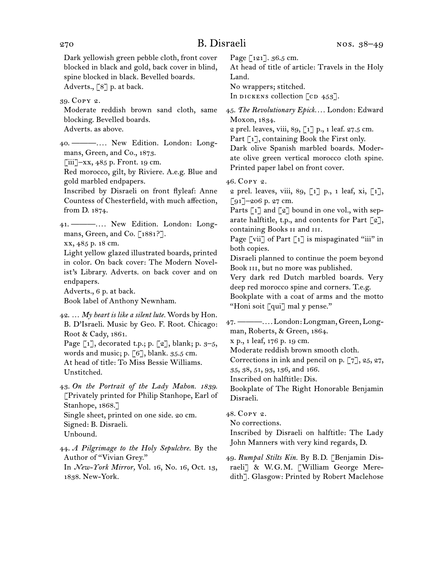Dark yellowish green pebble cloth, front cover blocked in black and gold, back cover in blind, spine blocked in black. Bevelled boards. Adverts., [8] p. at back.

39.  Copy 2.

Moderate reddish brown sand cloth, same blocking. Bevelled boards. Adverts. as above.

40.  ———*. . . .* New Edition. London: Long-

mans, Green, and Co., 1873.

 $\lceil$ iii]–xx, 485 p. Front. 19 cm.

Red morocco, gilt, by Riviere. A.e.g. Blue and gold marbled endpapers.

Inscribed by Disraeli on front flyleaf: Anne Countess of Chesterfield, with much affection, from D. 1874.

41.  ———*. . . .* New Edition. London: Longmans, Green, and Co. [1881?].

xx, 485 p. 18 cm.

Light yellow glazed illustrated boards, printed in color. On back cover: The Modern Novelist's Library. Adverts. on back cover and on endpapers.

Adverts., 6 p. at back.

Book label of Anthony Newnham.

42.  … *My heart is like a silent lute.* Words by Hon. B. D'Israeli. Music by Geo. F. Root. Chicago: Root & Cady, 1861.

Page  $[i]$ , decorated t.p.; p.  $[z]$ , blank; p.  $3-5$ , words and music; p.  $\lceil 6 \rceil$ , blank. 35.5 cm.

At head of title: To Miss Bessie Williams. Unstitched.

43.  *On the Portrait of the Lady Mahon. 1839.* [Privately printed for Philip Stanhope, Earl of Stanhope, 1868.] Single sheet, printed on one side. 20 cm.

Signed: B. Disraeli.

Unbound.

44.  *A Pilgrimage to the Holy Sepulchre.* By the Author of "Vivian Grey." In *New-York Mirror,* Vol. 16, No. 16, Oct. 13,

1838. New-York.

Page [121]. 36.5 cm.

At head of title of article: Travels in the Holy Land.

No wrappers; stitched.

In dickens collection  $\lceil$  cd  $453\rceil$ .

45.  *The Revolutionary Epick. . . .* London: Edward Moxon, 1834.

2 prel. leaves, viii, 89,  $\lceil 1 \rceil$  p., 1 leaf. 27.5 cm.

Part [1], containing Book the First only.

Dark olive Spanish marbled boards. Moderate olive green vertical morocco cloth spine. Printed paper label on front cover.

46.  Copy 2.

2 prel. leaves, viii, 89, [1] p., 1 leaf, xi, [1], [91]–206 p. 27 cm.

Parts  $\lceil 1 \rceil$  and  $\lceil 2 \rceil$  bound in one vol., with separate halftitle, t.p., and contents for Part  $\lceil 2 \rceil$ , containing Books ii and iii.

Page [vii] of Part  $\lceil 1 \rceil$  is mispaginated "iii" in both copies.

Disraeli planned to continue the poem beyond Book III, but no more was published.

Very dark red Dutch marbled boards. Very deep red morocco spine and corners. T.e.g.

Bookplate with a coat of arms and the motto "Honi soit [qui] mal y pense."

47.  ———*. . . .* London: Longman, Green, Longman, Roberts, & Green, 1864.

x p., 1 leaf, 176 p. 19 cm.

Moderate reddish brown smooth cloth.

Corrections in ink and pencil on p. [7], 25, 27,

35, 38, 51, 93, 136, and 166.

Inscribed on halftitle: Dis.

Bookplate of The Right Honorable Benjamin Disraeli.

48.  Copy 2.

No corrections.

Inscribed by Disraeli on halftitle: The Lady John Manners with very kind regards, D.

49.  *Rumpal Stilts Kin.* By B. D. [Benjamin Disraeli] & W.G.M. [William George Meredith]. Glasgow: Printed by Robert Maclehose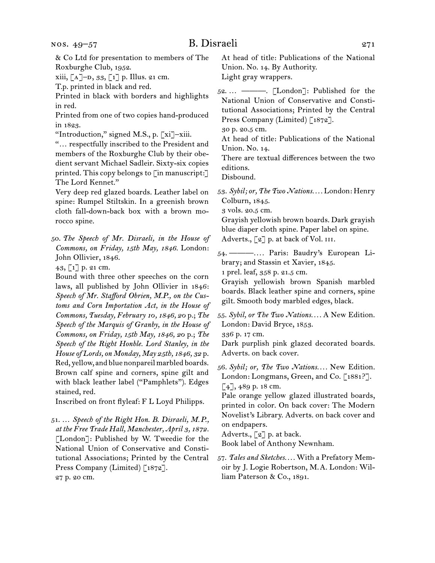& Co Ltd for presentation to members of The Roxburghe Club, 1952. xiii,  $[A]$ – $D$ , 33,  $[1]$  p. Illus. 21 cm. T.p. printed in black and red. Printed in black with borders and highlights in red. Printed from one of two copies hand-produced in 1823. "Introduction," signed M.S., p. [xi]–xiii. "… respectfully inscribed to the President and members of the Roxburghe Club by their obedient servant Michael Sadleir. Sixty-six copies printed. This copy belongs to [in manuscript:] The Lord Kennet." Very deep red glazed boards. Leather label on spine: Rumpel Stiltskin. In a greenish brown cloth fall-down-back box with a brown morocco spine. 50.  *The Speech of Mr. Disraeli, in the House of Commons, on Friday, 15th May, 1846.* London: John Ollivier, 1846. 43, [1] p. 21 cm. Bound with three other speeches on the corn laws, all published by John Ollivier in 1846: *Speech of Mr. Stafford Obrien, M.P., on the Customs and Corn Importation Act, in the House of Commons, Tuesday, February 10, 1846, 20* p.; *The Speech of the Marquis of Granby, in the House of Commons, on Friday, 15th May, 1846, 20* p.; *The Speech of the Right Honble. Lord Stanley, in the House of Lords, on Monday, May 25th, 1846, 32* p. Red, yellow, and blue nonpareil marbled boards. Brown calf spine and corners, spine gilt and with black leather label ("Pamphlets"). Edges stained, red. Inscribed on front flyleaf: F L Loyd Philipps. 51.  … *Speech of the Right Hon. B. Disraeli, M. P., at the Free Trade Hall, Manchester, April 3, 1872.* [London]: Published by W. Tweedie for the National Union of Conservative and Constitutional Associations; Printed by the Central Union. No. 14. By Authority. Light gray wrappers. Press Company (Limited) [1872]. 30 p. 20.5 cm. At head of title: Publications of the National Union. No. 14. There are textual differences between the two editions. Disbound. 53.  *Sybil; or, The Two Nations. . . .* London: Henry Colburn, 1845. 3 vols. 20.5 cm. Adverts., [2] p. at back of Vol. III. brary; and Stassin et Xavier, 1845. 1 prel. leaf, 358 p. 21.5 cm. Grayish yellowish brown Spanish marbled gilt. Smooth body marbled edges, black. London: David Bryce, 1853. 336 p. 17 cm. Adverts. on back cover. 56.  *Sybil; or, The Two Nations. . . .* New Edition. [4], 489 p. 18 cm. Pale orange yellow glazed illustrated boards, on endpapers. Adverts.,  $\lceil 2 \rceil$  p. at back. Book label of Anthony Newnham. 57.  *Tales and Sketches. . . .* With a Prefatory Mem-

Press Company (Limited) [1872]. 27 p. 20 cm.

At head of title: Publications of the National

52.  … ———. [London]: Published for the National Union of Conservative and Constitutional Associations; Printed by the Central

Grayish yellowish brown boards. Dark grayish blue diaper cloth spine. Paper label on spine.

54.  ———*. . . .* Paris: Baudry's European Li-

boards. Black leather spine and corners, spine

55.  *Sybil, or The Two Nations. . . .* A New Edition.

Dark purplish pink glazed decorated boards.

London: Longmans, Green, and Co. [1881?].

printed in color. On back cover: The Modern Novelist's Library. Adverts. on back cover and

oir by J. Logie Robertson, M. A. London: William Paterson & Co., 1891.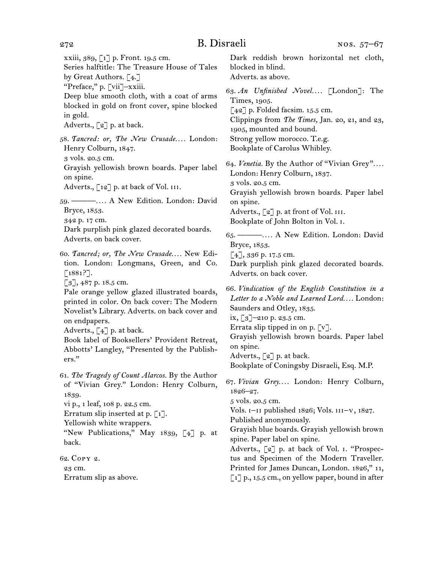xxiii, 389, [1] p. Front. 19.5 cm. Series halftitle: The Treasure House of Tales by Great Authors. [4.] "Preface," p. [vii]–xxiii.

Deep blue smooth cloth, with a coat of arms blocked in gold on front cover, spine blocked in gold.

Adverts., [2] p. at back.

58.  *Tancred: or, The New Crusade. . . .* London: Henry Colburn, 1847.

3 vols. 20.5 cm.

Grayish yellowish brown boards. Paper label on spine.

Adverts.,  $\lceil 12 \rceil$  p. at back of Vol. III.

59.  ———*. . . .* A New Edition. London: David Bryce, 1853.

342 p. 17 cm.

Dark purplish pink glazed decorated boards. Adverts. on back cover.

60.  *Tancred; or, The New Crusade. . . .* New Edition. London: Longmans, Green, and Co. [1881?].

 $\lceil 3 \rceil$ , 487 p. 18.5 cm.

Pale orange yellow glazed illustrated boards, printed in color. On back cover: The Modern Novelist's Library. Adverts. on back cover and on endpapers.

Adverts.,  $\lceil 4 \rceil$  p. at back.

Book label of Booksellers' Provident Retreat, Abbotts' Langley, "Presented by the Publishers."

61.  *The Tragedy of Count Alarcos.* By the Author of "Vivian Grey." London: Henry Colburn, 1839.

vi p., 1 leaf, 108 p. 22.5 cm.

Erratum slip inserted at p.  $\lceil 1 \rceil$ .

Yellowish white wrappers.

"New Publications," May 1839, [4] p. at back.

62.  Copy 2.

23 cm.

Erratum slip as above.

Dark reddish brown horizontal net cloth, blocked in blind. Adverts. as above.

63.  *An Unfinished Novel. . . .* [London]: The Times, 1905.  $\lceil 42 \rceil$  p. Folded facsim. 15.5 cm. Clippings from *The Times,* Jan. 20, 21, and 23, 1905, mounted and bound. Strong yellow morocco. T.e.g. Bookplate of Carolus Whibley.

64.  *Venetia.* By the Author of "Vivian Grey"*. . . .* London: Henry Colburn, 1837. 3 vols. 20.5 cm. Grayish yellowish brown boards. Paper label on spine. Adverts., [2] p. at front of Vol. III. Bookplate of John Bolton in Vol. i.

65.  ———*. . . .* A New Edition. London: David Bryce, 1853.

[4], 336 p. 17.5 cm.

Dark purplish pink glazed decorated boards. Adverts. on back cover.

66.  *Vindication of the English Constitution in a Letter to a Noble and Learned Lord. . . .* London: Saunders and Otley, 1835.

ix,  $\lceil 3 \rceil$ –210 p. 23.5 cm.

Errata slip tipped in on p.  $\lceil v \rceil$ .

Grayish yellowish brown boards. Paper label on spine.

Adverts., [2] p. at back.

Bookplate of Coningsby Disraeli, Esq. M.P.

67.  *Vivian Grey. . . .* London: Henry Colburn, 1826–27.

5 vols. 20.5 cm.

Vols.  $I-II$  published 1826; Vols.  $III-V$ , 1827.

Published anonymously.

Grayish blue boards. Grayish yellowish brown spine. Paper label on spine.

Adverts., [2] p. at back of Vol. i. "Prospectus and Specimen of the Modern Traveller. Printed for James Duncan, London. 1826," 11,  $\lceil 1 \rceil$  p., 15.5 cm., on yellow paper, bound in after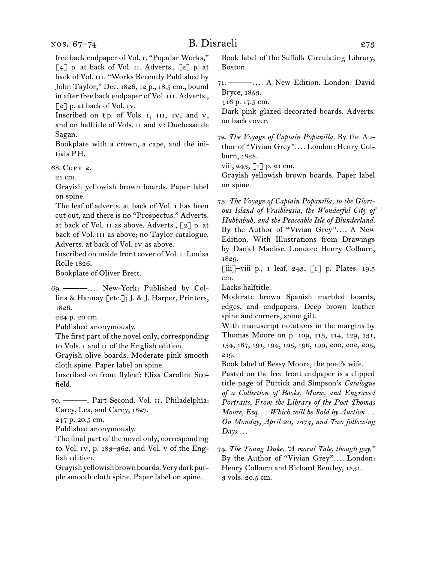free back endpaper of Vol. i. "Popular Works,"  $\lceil 4 \rceil$  p. at back of Vol. II. Adverts.,  $\lceil 2 \rceil$  p. at back of Vol. III. "Works Recently Published by John Taylor," Dec. 1826, 12 p., 18.5 cm., bound in after free back endpaper of Vol. III. Adverts., [2] p. at back of Vol. IV.

Inscribed on t.p. of Vols. I, III, IV, and V, and on halftitle of Vols. ii and v: Duchesse de Sagan.

Bookplate with a crown, a cape, and the initials P H.

68.  Copy 2.

21 cm.

Grayish yellowish brown boards. Paper label on spine.

The leaf of adverts. at back of Vol. i has been cut out, and there is no "Prospectus." Adverts. at back of Vol. II as above. Adverts.,  $\lbrack 2 \rbrack$  p. at back of Vol. III as above; no Taylor catalogue. Adverts. at back of Vol. iv as above.

Inscribed on inside front cover of Vol. i: Louisa Rolle 1826.

Bookplate of Oliver Brett.

69.  ———*. . . .* New-York: Published by Collins & Hannay [etc.]; J. & J. Harper, Printers, 1826.

224 p. 20 cm.

Published anonymously.

The first part of the novel only, corresponding to Vols. i and ii of the English edition.

Grayish olive boards. Moderate pink smooth cloth spine. Paper label on spine.

Inscribed on front flyleaf: Eliza Caroline Scofield.

70.  ———. Part Second. Vol. ii. Philadelphia: Carey, Lea, and Carey, 1827.

247 p. 20.5 cm.

Published anonymously.

The final part of the novel only, corresponding to Vol. iv, p. 183–362, and Vol. v of the English edition.

Grayishyellowishbrownboards.Verydarkpurple smooth cloth spine. Paper label on spine.

Book label of the Suffolk Circulating Library, Boston.

71.  ———*. . . .* A New Edition. London: David Bryce, 1853.

416 p. 17.5 cm.

Dark pink glazed decorated boards. Adverts. on back cover.

72.  *The Voyage of Captain Popanilla.* By the Author of "Vivian Grey"*. . . .* London: Henry Colburn, 1828.

viii, 243,  $\lceil 1 \rceil$  p. 21 cm.

Grayish yellowish brown boards. Paper label on spine.

73.  *The Voyage of Captain Popanilla, to the Glorious Island of Vraibleusia, the Wonderful City of Hubbabub, and the Peaceable Isle of Blunderland.* By the Author of "Vivian Grey"*. . . .* A New Edition. With Illustrations from Drawings by Daniel Maclise. London: Henry Colburn, 1829.

 $\begin{bmatrix} \text{iii} \\ \text{-viii} \end{bmatrix}$ -viii p., 1 leaf, 243,  $\begin{bmatrix} 1 \end{bmatrix}$  p. Plates. 19.5 cm.

Lacks halftitle.

Moderate brown Spanish marbled boards, edges, and endpapers. Deep brown leather spine and corners, spine gilt.

With manuscript notations in the margins by Thomas Moore on p. 109, 113, 114, 129, 131, 134, 187, 191, 194, 195, 196, 199, 200, 202, 205, 219.

Book label of Bessy Moore, the poet's wife.

Pasted on the free front endpaper is a clipped title page of Puttick and Simpson's *Catalogue of a Collection of Books, Music, and Engraved Portraits, From the Library of the Poet Thomas Moore, Esq. . . . Which will be Sold by Auction … On Monday, April 20, 1874, and Two following Days. . . .*

74.  *The Young Duke. "A moral Tale, though gay."* By the Author of "Vivian Grey"*. . . .* London: Henry Colburn and Richard Bentley, 1831. 3 vols. 20.5 cm.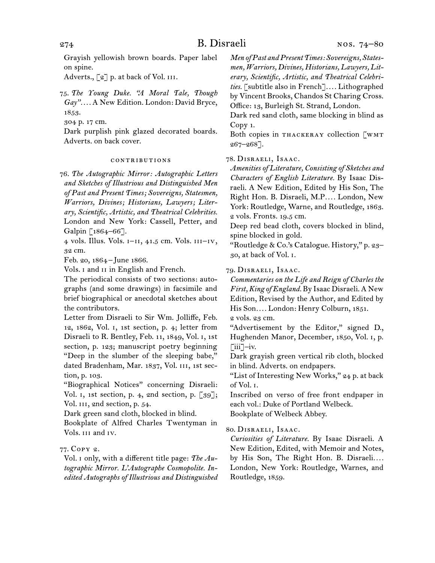Grayish yellowish brown boards. Paper label on spine.

Adverts.,  $\lceil 2 \rceil$  p. at back of Vol. III.

75.  *The Young Duke. "A Moral Tale, Though Gay". . . .* A New Edition. London: David Bryce, 1853.

304 p. 17 cm.

Dark purplish pink glazed decorated boards. Adverts. on back cover.

#### contributions

76.  *The Autographic Mirror: Autographic Letters and Sketches of Illustrious and Distinguished Men of Past and Present Times; Sovereigns, Statesmen, Warriors, Divines; Historians, Lawyers; Literary, Scientific, Artistic, and Theatrical Celebrities.* London and New York: Cassell, Petter, and Galpin [1864-66].

 $4$  vols. Illus. Vols.  $I-II$ ,  $41.5$  cm. Vols.  $II-IV$ , 32 cm.

Feb. 20, 1864 – June 1866.

Vols. I and II in English and French.

The periodical consists of two sections: autographs (and some drawings) in facsimile and brief biographical or anecdotal sketches about the contributors.

Letter from Disraeli to Sir Wm. Jolliffe, Feb. 12, 1862, Vol. i, 1st section, p. 4; letter from Disraeli to R. Bentley, Feb. 11, 1849, Vol. i, 1st section, p. 123; manuscript poetry beginning "Deep in the slumber of the sleeping babe," dated Bradenham, Mar. 1837, Vol. III, 1st section, p. 103.

"Biographical Notices" concerning Disraeli: Vol. i, 1st section, p. 4, 2nd section, p. [39]; Vol. III, 2nd section, p. 54.

Dark green sand cloth, blocked in blind.

Bookplate of Alfred Charles Twentyman in Vols. iii and iv.

### 77.  Copy 2.

Vol. i only, with a different title page: *The Autographic Mirror. L'Autographe Cosmopolite. Inedited Autographs of Illustrious and Distinguished* *Men ofPast andPresentTimes: Sovereigns, Statesmen, Warriors, Divines, Historians, Lawyers, Literary, Scientific, Artistic, and Theatrical Celebrities.* [subtitle also in French]*. . . .* Lithographed by Vincent Brooks, Chandos St Charing Cross. Office: 13, Burleigh St. Strand, London.

Dark red sand cloth, same blocking in blind as Copy 1.

Both copies in THACKERAY collection [WMT 267–268].

#### 78.  Disraeli, Isaac.

*Amenities of Literature, Consisting of Sketches and Characters of English Literature.* By Isaac Disraeli. A New Edition, Edited by His Son, The Right Hon. B. Disraeli, M.P*. . . .* London, New York: Routledge, Warne, and Routledge, 1863. 2 vols. Fronts. 19.5 cm.

Deep red bead cloth, covers blocked in blind, spine blocked in gold.

"Routledge & Co.'s Catalogue. History," p. 23– 30, at back of Vol. i.

#### 79.  Disraeli, Isaac.

*Commentaries on the Life and Reign of Charles the First, King ofEngland.* By Isaac Disraeli.A New Edition, Revised by the Author, and Edited by His Son*. . . .* London: Henry Colburn, 1851.

2 vols. 23 cm.

"Advertisement by the Editor," signed D., Hughenden Manor, December, 1850, Vol. i, p.  $\lceil$ iii $\lceil$ –iv.

Dark grayish green vertical rib cloth, blocked in blind. Adverts. on endpapers.

"List of Interesting New Works," 24 p. at back of Vol. i.

Inscribed on verso of free front endpaper in each vol.: Duke of Portland Welbeck. Bookplate of Welbeck Abbey.

#### 80.  Disraeli, Isaac.

*Curiosities of Literature.* By Isaac Disraeli. A New Edition, Edited, with Memoir and Notes, by His Son, The Right Hon. B. Disraeli*. . . .* London, New York: Routledge, Warnes, and Routledge, 1859.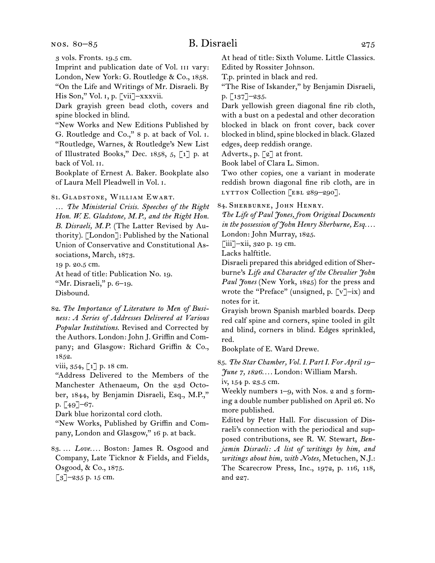nos. 80–85

## B. Disraeli 275

Imprint and publication date of Vol. III vary: London, New York: G. Routledge & Co., 1858. "On the Life and Writings of Mr. Disraeli. By

His Son," Vol. 1, p. [vii]–xxxvii.

Dark grayish green bead cloth, covers and spine blocked in blind.

"New Works and New Editions Published by G. Routledge and Co.," 8 p. at back of Vol. i. "Routledge, Warnes, & Routledge's New List of Illustrated Books," Dec. 1858, 5, [1] p. at back of Vol. ii.

Bookplate of Ernest A. Baker. Bookplate also of Laura Mell Pleadwell in Vol. i.

81.  Gladstone, William Ewart.

… *The Ministerial Crisis. Speeches of the Right Hon. W. E. Gladstone, M. P., and the Right Hon. B. Disraeli, M. P.* (The Latter Revised by Authority). [London]: Published by the National Union of Conservative and Constitutional Associations, March, 1873.

19 p. 20.5 cm.

At head of title: Publication No. 19. "Mr. Disraeli," p. 6–19.

Disbound.

82.  *The Importance of Literature to Men of Business: A Series of Addresses Delivered at Various Popular Institutions.* Revised and Corrected by the Authors. London: John J. Griffin and Company; and Glasgow: Richard Griffin & Co., 1852.

viii,  $354, 1$ ] p. 18 cm.

"Address Delivered to the Members of the Manchester Athenaeum, On the 23d October, 1844, by Benjamin Disraeli, Esq., M.P.," p. [49]–67.

Dark blue horizontal cord cloth.

"New Works, Published by Griffin and Company, London and Glasgow," 16 p. at back.

83.  … *Love. . . .* Boston: James R. Osgood and Company, Late Ticknor & Fields, and Fields, Osgood, & Co., 1875.

 $\lceil 3 \rceil$ -235 p. 15 cm.

At head of title: Sixth Volume. Little Classics. Edited by Rossiter Johnson.

T.p. printed in black and red.

"The Rise of Iskander," by Benjamin Disraeli, p. [137]–235.

Dark yellowish green diagonal fine rib cloth, with a bust on a pedestal and other decoration blocked in black on front cover, back cover blocked in blind, spine blocked in black. Glazed edges, deep reddish orange.

Adverts., p. [2] at front.

Book label of Clara L. Simon.

Two other copies, one a variant in moderate reddish brown diagonal fine rib cloth, are in LYTTON Collection [EBL 289-290].

84.  Sherburne, John Henry.

*The Life of Paul Jones, from Original Documents in the possession of John Henry Sherburne, Esq. . . .*

London: John Murray, 1825.

[iii]–xii, 320 p. 19 cm.

Lacks halftitle.

Disraeli prepared this abridged edition of Sherburne's *Life and Character of the Chevalier John Paul Jones* (New York, 1825) for the press and wrote the "Preface" (unsigned, p. [v]–ix) and notes for it.

Grayish brown Spanish marbled boards. Deep red calf spine and corners, spine tooled in gilt and blind, corners in blind. Edges sprinkled, red.

Bookplate of E. Ward Drewe.

85.  *The Star Chamber, Vol. I. Part I. For April 19– June 7, 1826. . . .* London: William Marsh.

iv, 154 p. 23.5 cm.

Weekly numbers  $1-9$ , with Nos. 2 and 3 forming a double number published on April 26. No more published.

Edited by Peter Hall. For discussion of Disraeli's connection with the periodical and supposed contributions, see R. W. Stewart, *Benjamin Disraeli: A list of writings by him, and writings about him, with Notes,* Metuchen, N.J.: The Scarecrow Press, Inc., 1972, p. 116, 118, and 227.